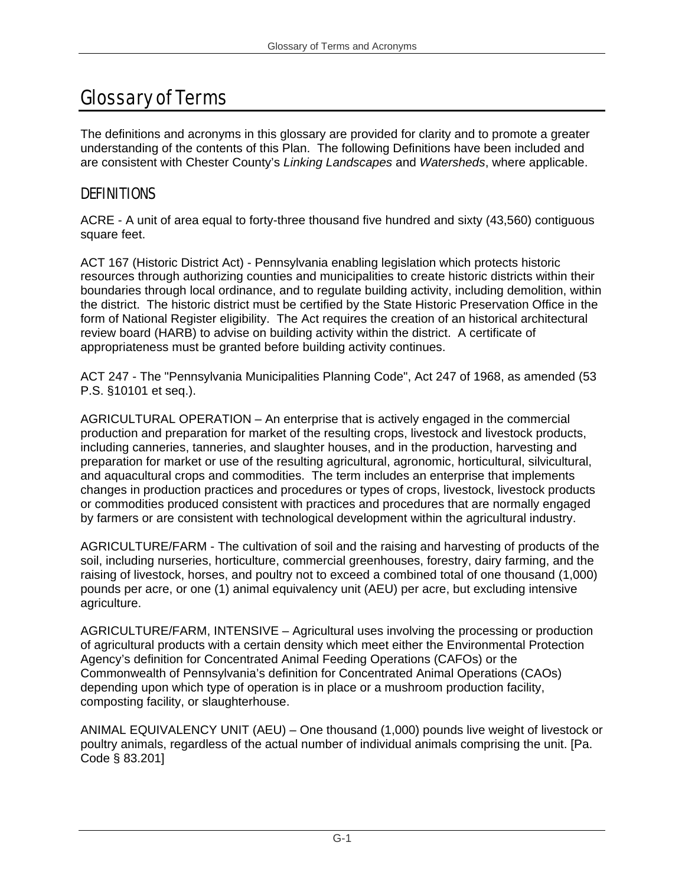## Glossary of Terms

The definitions and acronyms in this glossary are provided for clarity and to promote a greater understanding of the contents of this Plan. The following Definitions have been included and are consistent with Chester County's *Linking Landscapes* and *Watersheds*, where applicable.

## **DEFINITIONS**

ACRE - A unit of area equal to forty-three thousand five hundred and sixty (43,560) contiguous square feet.

ACT 167 (Historic District Act) - Pennsylvania enabling legislation which protects historic resources through authorizing counties and municipalities to create historic districts within their boundaries through local ordinance, and to regulate building activity, including demolition, within the district. The historic district must be certified by the State Historic Preservation Office in the form of National Register eligibility. The Act requires the creation of an historical architectural review board (HARB) to advise on building activity within the district. A certificate of appropriateness must be granted before building activity continues.

ACT 247 - The "Pennsylvania Municipalities Planning Code", Act 247 of 1968, as amended (53 P.S. §10101 et seq.).

AGRICULTURAL OPERATION – An enterprise that is actively engaged in the commercial production and preparation for market of the resulting crops, livestock and livestock products, including canneries, tanneries, and slaughter houses, and in the production, harvesting and preparation for market or use of the resulting agricultural, agronomic, horticultural, silvicultural, and aquacultural crops and commodities. The term includes an enterprise that implements changes in production practices and procedures or types of crops, livestock, livestock products or commodities produced consistent with practices and procedures that are normally engaged by farmers or are consistent with technological development within the agricultural industry.

AGRICULTURE/FARM - The cultivation of soil and the raising and harvesting of products of the soil, including nurseries, horticulture, commercial greenhouses, forestry, dairy farming, and the raising of livestock, horses, and poultry not to exceed a combined total of one thousand (1,000) pounds per acre, or one (1) animal equivalency unit (AEU) per acre, but excluding intensive agriculture.

AGRICULTURE/FARM, INTENSIVE – Agricultural uses involving the processing or production of agricultural products with a certain density which meet either the Environmental Protection Agency's definition for Concentrated Animal Feeding Operations (CAFOs) or the Commonwealth of Pennsylvania's definition for Concentrated Animal Operations (CAOs) depending upon which type of operation is in place or a mushroom production facility, composting facility, or slaughterhouse.

ANIMAL EQUIVALENCY UNIT (AEU) – One thousand (1,000) pounds live weight of livestock or poultry animals, regardless of the actual number of individual animals comprising the unit. [Pa. Code § 83.201]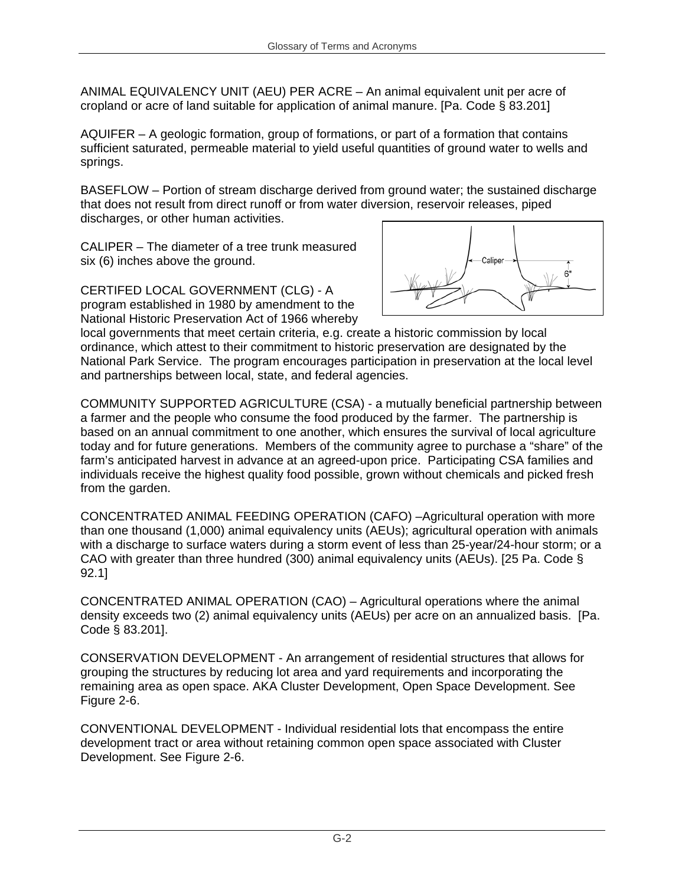ANIMAL EQUIVALENCY UNIT (AEU) PER ACRE – An animal equivalent unit per acre of cropland or acre of land suitable for application of animal manure. [Pa. Code § 83.201]

AQUIFER – A geologic formation, group of formations, or part of a formation that contains sufficient saturated, permeable material to yield useful quantities of ground water to wells and springs.

BASEFLOW – Portion of stream discharge derived from ground water; the sustained discharge that does not result from direct runoff or from water diversion, reservoir releases, piped discharges, or other human activities.

CALIPER – The diameter of a tree trunk measured six (6) inches above the ground.

CERTIFED LOCAL GOVERNMENT (CLG) - A program established in 1980 by amendment to the National Historic Preservation Act of 1966 whereby



local governments that meet certain criteria, e.g. create a historic commission by local ordinance, which attest to their commitment to historic preservation are designated by the National Park Service. The program encourages participation in preservation at the local level and partnerships between local, state, and federal agencies.

COMMUNITY SUPPORTED AGRICULTURE (CSA) - a mutually beneficial partnership between a farmer and the people who consume the food produced by the farmer. The partnership is based on an annual commitment to one another, which ensures the survival of local agriculture today and for future generations. Members of the community agree to purchase a "share" of the farm's anticipated harvest in advance at an agreed-upon price. Participating CSA families and individuals receive the highest quality food possible, grown without chemicals and picked fresh from the garden.

CONCENTRATED ANIMAL FEEDING OPERATION (CAFO) –Agricultural operation with more than one thousand (1,000) animal equivalency units (AEUs); agricultural operation with animals with a discharge to surface waters during a storm event of less than 25-year/24-hour storm; or a CAO with greater than three hundred (300) animal equivalency units (AEUs). [25 Pa. Code § 92.1]

CONCENTRATED ANIMAL OPERATION (CAO) – Agricultural operations where the animal density exceeds two (2) animal equivalency units (AEUs) per acre on an annualized basis. [Pa. Code § 83.201].

CONSERVATION DEVELOPMENT - An arrangement of residential structures that allows for grouping the structures by reducing lot area and yard requirements and incorporating the remaining area as open space. AKA Cluster Development, Open Space Development. See Figure 2-6.

CONVENTIONAL DEVELOPMENT - Individual residential lots that encompass the entire development tract or area without retaining common open space associated with Cluster Development. See Figure 2-6.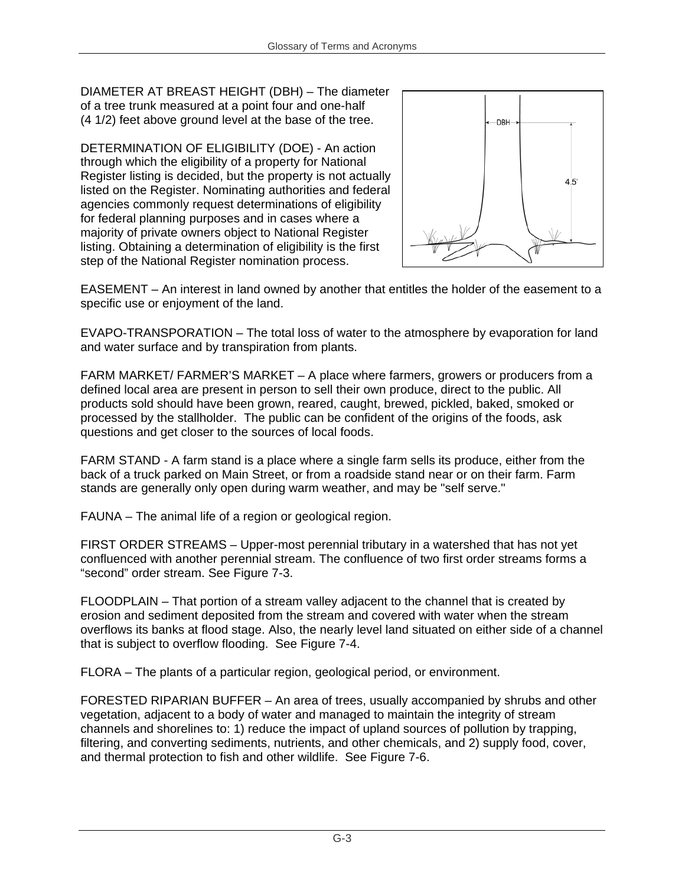DIAMETER AT BREAST HEIGHT (DBH) – The diameter of a tree trunk measured at a point four and one-half (4 1/2) feet above ground level at the base of the tree.

DETERMINATION OF ELIGIBILITY (DOE) - An action through which the eligibility of a property for National Register listing is decided, but the property is not actually listed on the Register. Nominating authorities and federal agencies commonly request determinations of eligibility for federal planning purposes and in cases where a majority of private owners object to National Register listing. Obtaining a determination of eligibility is the first step of the National Register nomination process.



EASEMENT – An interest in land owned by another that entitles the holder of the easement to a specific use or enjoyment of the land.

EVAPO-TRANSPORATION – The total loss of water to the atmosphere by evaporation for land and water surface and by transpiration from plants.

FARM MARKET/ FARMER'S MARKET – A place where farmers, growers or producers from a defined local area are present in person to sell their own produce, direct to the public. All products sold should have been grown, reared, caught, brewed, pickled, baked, smoked or processed by the stallholder. The public can be confident of the origins of the foods, ask questions and get closer to the sources of local foods.

FARM STAND - A farm stand is a place where a single farm sells its produce, either from the back of a truck parked on Main Street, or from a roadside stand near or on their farm. Farm stands are generally only open during warm weather, and may be "self serve."

FAUNA – The animal life of a region or geological region.

FIRST ORDER STREAMS – Upper-most perennial tributary in a watershed that has not yet confluenced with another perennial stream. The confluence of two first order streams forms a "second" order stream. See Figure 7-3.

FLOODPLAIN – That portion of a stream valley adjacent to the channel that is created by erosion and sediment deposited from the stream and covered with water when the stream overflows its banks at flood stage. Also, the nearly level land situated on either side of a channel that is subject to overflow flooding. See Figure 7-4.

FLORA – The plants of a particular region, geological period, or environment.

FORESTED RIPARIAN BUFFER – An area of trees, usually accompanied by shrubs and other vegetation, adjacent to a body of water and managed to maintain the integrity of stream channels and shorelines to: 1) reduce the impact of upland sources of pollution by trapping, filtering, and converting sediments, nutrients, and other chemicals, and 2) supply food, cover, and thermal protection to fish and other wildlife. See Figure 7-6.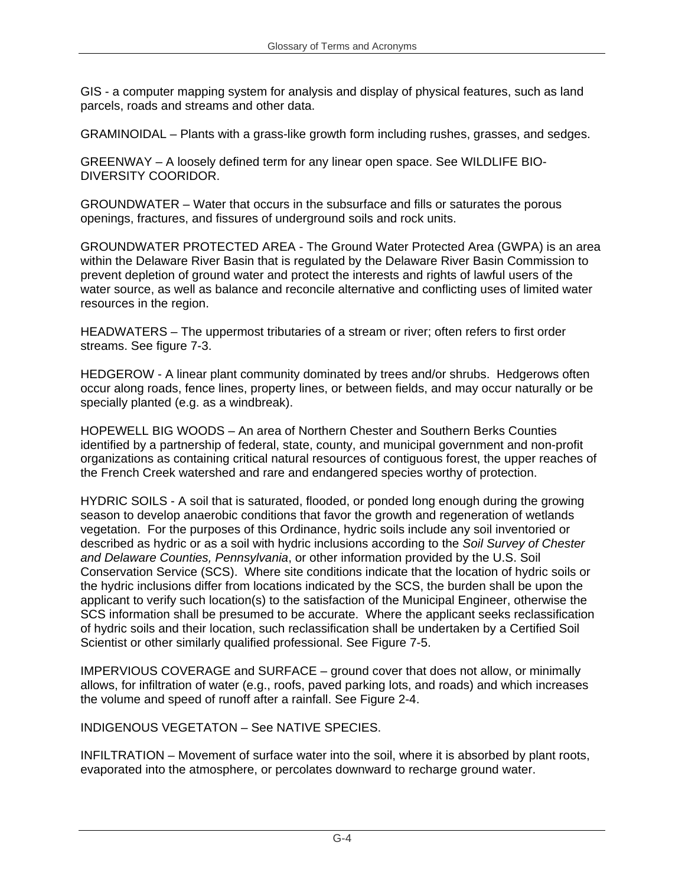GIS - a computer mapping system for analysis and display of physical features, such as land parcels, roads and streams and other data.

GRAMINOIDAL – Plants with a grass-like growth form including rushes, grasses, and sedges.

GREENWAY – A loosely defined term for any linear open space. See WILDLIFE BIO-DIVERSITY COORIDOR.

GROUNDWATER – Water that occurs in the subsurface and fills or saturates the porous openings, fractures, and fissures of underground soils and rock units.

GROUNDWATER PROTECTED AREA - The Ground Water Protected Area (GWPA) is an area within the Delaware River Basin that is regulated by the Delaware River Basin Commission to prevent depletion of ground water and protect the interests and rights of lawful users of the water source, as well as balance and reconcile alternative and conflicting uses of limited water resources in the region.

HEADWATERS – The uppermost tributaries of a stream or river; often refers to first order streams. See figure 7-3.

HEDGEROW - A linear plant community dominated by trees and/or shrubs. Hedgerows often occur along roads, fence lines, property lines, or between fields, and may occur naturally or be specially planted (e.g. as a windbreak).

HOPEWELL BIG WOODS – An area of Northern Chester and Southern Berks Counties identified by a partnership of federal, state, county, and municipal government and non-profit organizations as containing critical natural resources of contiguous forest, the upper reaches of the French Creek watershed and rare and endangered species worthy of protection.

HYDRIC SOILS - A soil that is saturated, flooded, or ponded long enough during the growing season to develop anaerobic conditions that favor the growth and regeneration of wetlands vegetation. For the purposes of this Ordinance, hydric soils include any soil inventoried or described as hydric or as a soil with hydric inclusions according to the *Soil Survey of Chester and Delaware Counties, Pennsylvania*, or other information provided by the U.S. Soil Conservation Service (SCS). Where site conditions indicate that the location of hydric soils or the hydric inclusions differ from locations indicated by the SCS, the burden shall be upon the applicant to verify such location(s) to the satisfaction of the Municipal Engineer, otherwise the SCS information shall be presumed to be accurate. Where the applicant seeks reclassification of hydric soils and their location, such reclassification shall be undertaken by a Certified Soil Scientist or other similarly qualified professional. See Figure 7-5.

IMPERVIOUS COVERAGE and SURFACE – ground cover that does not allow, or minimally allows, for infiltration of water (e.g., roofs, paved parking lots, and roads) and which increases the volume and speed of runoff after a rainfall. See Figure 2-4.

INDIGENOUS VEGETATON – See NATIVE SPECIES.

INFILTRATION – Movement of surface water into the soil, where it is absorbed by plant roots, evaporated into the atmosphere, or percolates downward to recharge ground water.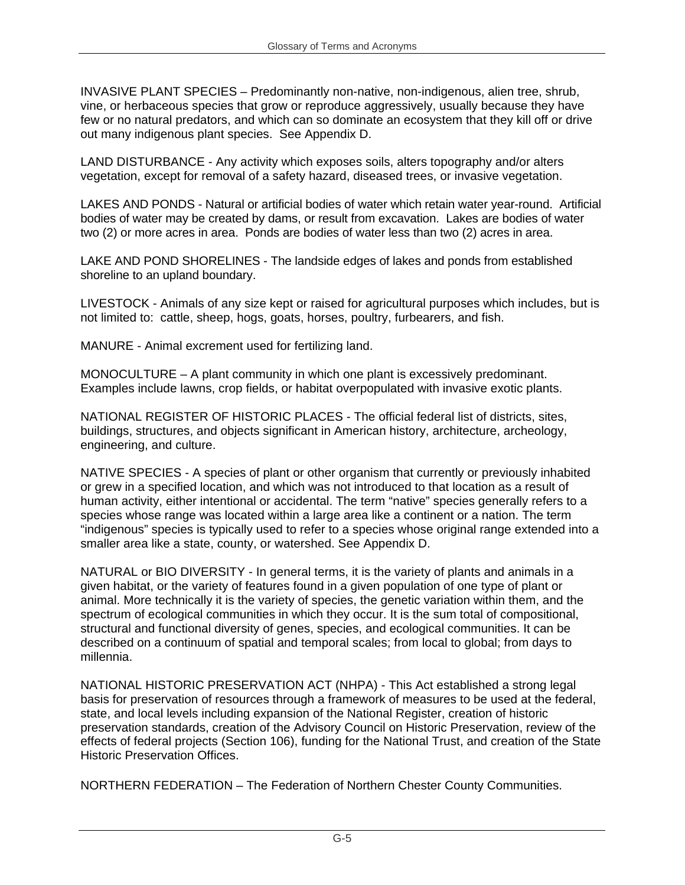INVASIVE PLANT SPECIES – Predominantly non-native, non-indigenous, alien tree, shrub, vine, or herbaceous species that grow or reproduce aggressively, usually because they have few or no natural predators, and which can so dominate an ecosystem that they kill off or drive out many indigenous plant species. See Appendix D.

LAND DISTURBANCE - Any activity which exposes soils, alters topography and/or alters vegetation, except for removal of a safety hazard, diseased trees, or invasive vegetation.

LAKES AND PONDS - Natural or artificial bodies of water which retain water year-round. Artificial bodies of water may be created by dams, or result from excavation. Lakes are bodies of water two (2) or more acres in area. Ponds are bodies of water less than two (2) acres in area.

LAKE AND POND SHORELINES - The landside edges of lakes and ponds from established shoreline to an upland boundary.

LIVESTOCK - Animals of any size kept or raised for agricultural purposes which includes, but is not limited to: cattle, sheep, hogs, goats, horses, poultry, furbearers, and fish.

MANURE - Animal excrement used for fertilizing land.

MONOCULTURE – A plant community in which one plant is excessively predominant. Examples include lawns, crop fields, or habitat overpopulated with invasive exotic plants.

NATIONAL REGISTER OF HISTORIC PLACES - The official federal list of districts, sites, buildings, structures, and objects significant in American history, architecture, archeology, engineering, and culture.

NATIVE SPECIES - A species of plant or other organism that currently or previously inhabited or grew in a specified location, and which was not introduced to that location as a result of human activity, either intentional or accidental. The term "native" species generally refers to a species whose range was located within a large area like a continent or a nation. The term "indigenous" species is typically used to refer to a species whose original range extended into a smaller area like a state, county, or watershed. See Appendix D.

NATURAL or BIO DIVERSITY - In general terms, it is the variety of plants and animals in a given habitat, or the variety of features found in a given population of one type of plant or animal. More technically it is the variety of species, the genetic variation within them, and the spectrum of ecological communities in which they occur. It is the sum total of compositional, structural and functional diversity of genes, species, and ecological communities. It can be described on a continuum of spatial and temporal scales; from local to global; from days to millennia.

NATIONAL HISTORIC PRESERVATION ACT (NHPA) - This Act established a strong legal basis for preservation of resources through a framework of measures to be used at the federal, state, and local levels including expansion of the National Register, creation of historic preservation standards, creation of the Advisory Council on Historic Preservation, review of the effects of federal projects (Section 106), funding for the National Trust, and creation of the State Historic Preservation Offices.

NORTHERN FEDERATION – The Federation of Northern Chester County Communities.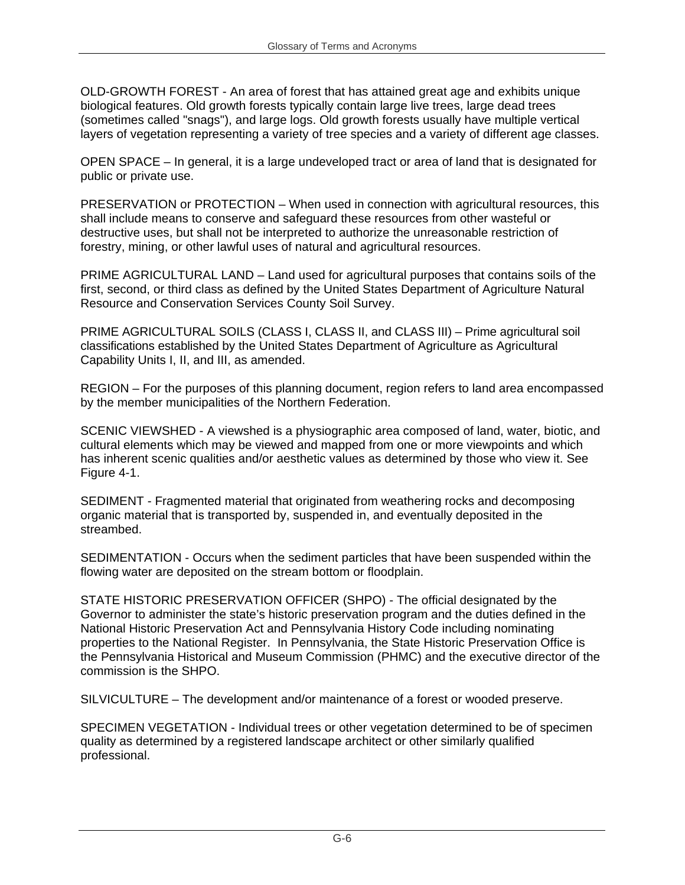OLD-GROWTH FOREST - An area of forest that has attained great age and exhibits unique biological features. Old growth forests typically contain large live trees, large dead trees (sometimes called "snags"), and large logs. Old growth forests usually have multiple vertical layers of vegetation representing a variety of tree species and a variety of different age classes.

OPEN SPACE – In general, it is a large undeveloped tract or area of land that is designated for public or private use.

PRESERVATION or PROTECTION – When used in connection with agricultural resources, this shall include means to conserve and safeguard these resources from other wasteful or destructive uses, but shall not be interpreted to authorize the unreasonable restriction of forestry, mining, or other lawful uses of natural and agricultural resources.

PRIME AGRICULTURAL LAND – Land used for agricultural purposes that contains soils of the first, second, or third class as defined by the United States Department of Agriculture Natural Resource and Conservation Services County Soil Survey.

PRIME AGRICULTURAL SOILS (CLASS I, CLASS II, and CLASS III) - Prime agricultural soil classifications established by the United States Department of Agriculture as Agricultural Capability Units I, II, and III, as amended.

REGION – For the purposes of this planning document, region refers to land area encompassed by the member municipalities of the Northern Federation.

SCENIC VIEWSHED - A viewshed is a physiographic area composed of land, water, biotic, and cultural elements which may be viewed and mapped from one or more viewpoints and which has inherent scenic qualities and/or aesthetic values as determined by those who view it. See Figure 4-1.

SEDIMENT - Fragmented material that originated from weathering rocks and decomposing organic material that is transported by, suspended in, and eventually deposited in the streambed.

SEDIMENTATION - Occurs when the sediment particles that have been suspended within the flowing water are deposited on the stream bottom or floodplain.

STATE HISTORIC PRESERVATION OFFICER (SHPO) - The official designated by the Governor to administer the state's historic preservation program and the duties defined in the National Historic Preservation Act and Pennsylvania History Code including nominating properties to the National Register. In Pennsylvania, the State Historic Preservation Office is the Pennsylvania Historical and Museum Commission (PHMC) and the executive director of the commission is the SHPO.

SILVICULTURE – The development and/or maintenance of a forest or wooded preserve.

SPECIMEN VEGETATION - Individual trees or other vegetation determined to be of specimen quality as determined by a registered landscape architect or other similarly qualified professional.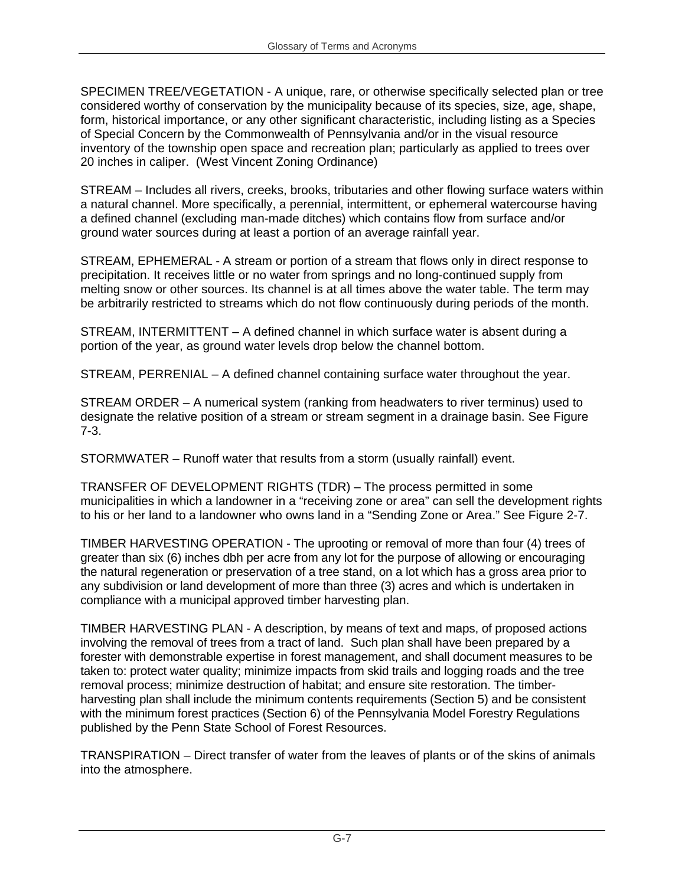SPECIMEN TREE/VEGETATION - A unique, rare, or otherwise specifically selected plan or tree considered worthy of conservation by the municipality because of its species, size, age, shape, form, historical importance, or any other significant characteristic, including listing as a Species of Special Concern by the Commonwealth of Pennsylvania and/or in the visual resource inventory of the township open space and recreation plan; particularly as applied to trees over 20 inches in caliper. (West Vincent Zoning Ordinance)

STREAM – Includes all rivers, creeks, brooks, tributaries and other flowing surface waters within a natural channel. More specifically, a perennial, intermittent, or ephemeral watercourse having a defined channel (excluding man-made ditches) which contains flow from surface and/or ground water sources during at least a portion of an average rainfall year.

STREAM, EPHEMERAL - A stream or portion of a stream that flows only in direct response to precipitation. It receives little or no water from springs and no long-continued supply from melting snow or other sources. Its channel is at all times above the water table. The term may be arbitrarily restricted to streams which do not flow continuously during periods of the month.

STREAM, INTERMITTENT – A defined channel in which surface water is absent during a portion of the year, as ground water levels drop below the channel bottom.

STREAM, PERRENIAL – A defined channel containing surface water throughout the year.

STREAM ORDER – A numerical system (ranking from headwaters to river terminus) used to designate the relative position of a stream or stream segment in a drainage basin. See Figure 7-3.

STORMWATER – Runoff water that results from a storm (usually rainfall) event.

TRANSFER OF DEVELOPMENT RIGHTS (TDR) – The process permitted in some municipalities in which a landowner in a "receiving zone or area" can sell the development rights to his or her land to a landowner who owns land in a "Sending Zone or Area." See Figure 2-7.

TIMBER HARVESTING OPERATION - The uprooting or removal of more than four (4) trees of greater than six (6) inches dbh per acre from any lot for the purpose of allowing or encouraging the natural regeneration or preservation of a tree stand, on a lot which has a gross area prior to any subdivision or land development of more than three (3) acres and which is undertaken in compliance with a municipal approved timber harvesting plan.

TIMBER HARVESTING PLAN - A description, by means of text and maps, of proposed actions involving the removal of trees from a tract of land. Such plan shall have been prepared by a forester with demonstrable expertise in forest management, and shall document measures to be taken to: protect water quality; minimize impacts from skid trails and logging roads and the tree removal process; minimize destruction of habitat; and ensure site restoration. The timberharvesting plan shall include the minimum contents requirements (Section 5) and be consistent with the minimum forest practices (Section 6) of the Pennsylvania Model Forestry Regulations published by the Penn State School of Forest Resources.

TRANSPIRATION – Direct transfer of water from the leaves of plants or of the skins of animals into the atmosphere.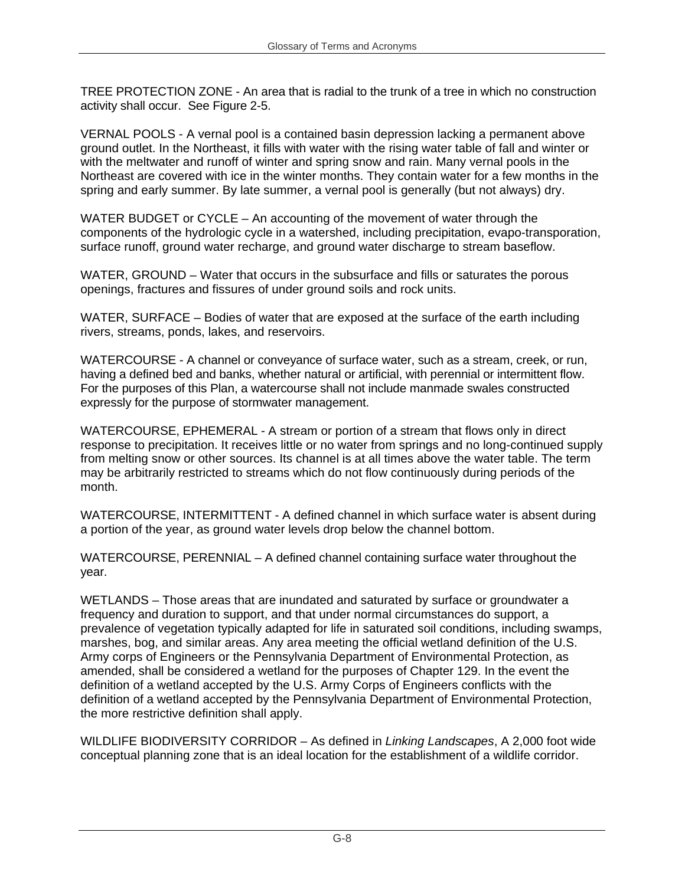TREE PROTECTION ZONE - An area that is radial to the trunk of a tree in which no construction activity shall occur. See Figure 2-5.

VERNAL POOLS - A vernal pool is a contained basin depression lacking a permanent above ground outlet. In the Northeast, it fills with water with the rising water table of fall and winter or with the meltwater and runoff of winter and spring snow and rain. Many vernal pools in the Northeast are covered with ice in the winter months. They contain water for a few months in the spring and early summer. By late summer, a vernal pool is generally (but not always) dry.

WATER BUDGET or CYCLE – An accounting of the movement of water through the components of the hydrologic cycle in a watershed, including precipitation, evapo-transporation, surface runoff, ground water recharge, and ground water discharge to stream baseflow.

WATER, GROUND – Water that occurs in the subsurface and fills or saturates the porous openings, fractures and fissures of under ground soils and rock units.

WATER, SURFACE – Bodies of water that are exposed at the surface of the earth including rivers, streams, ponds, lakes, and reservoirs.

WATERCOURSE - A channel or conveyance of surface water, such as a stream, creek, or run, having a defined bed and banks, whether natural or artificial, with perennial or intermittent flow. For the purposes of this Plan, a watercourse shall not include manmade swales constructed expressly for the purpose of stormwater management.

WATERCOURSE, EPHEMERAL - A stream or portion of a stream that flows only in direct response to precipitation. It receives little or no water from springs and no long-continued supply from melting snow or other sources. Its channel is at all times above the water table. The term may be arbitrarily restricted to streams which do not flow continuously during periods of the month.

WATERCOURSE, INTERMITTENT - A defined channel in which surface water is absent during a portion of the year, as ground water levels drop below the channel bottom.

WATERCOURSE, PERENNIAL – A defined channel containing surface water throughout the year.

WETLANDS – Those areas that are inundated and saturated by surface or groundwater a frequency and duration to support, and that under normal circumstances do support, a prevalence of vegetation typically adapted for life in saturated soil conditions, including swamps, marshes, bog, and similar areas. Any area meeting the official wetland definition of the U.S. Army corps of Engineers or the Pennsylvania Department of Environmental Protection, as amended, shall be considered a wetland for the purposes of Chapter 129. In the event the definition of a wetland accepted by the U.S. Army Corps of Engineers conflicts with the definition of a wetland accepted by the Pennsylvania Department of Environmental Protection, the more restrictive definition shall apply.

WILDLIFE BIODIVERSITY CORRIDOR – As defined in *Linking Landscapes*, A 2,000 foot wide conceptual planning zone that is an ideal location for the establishment of a wildlife corridor.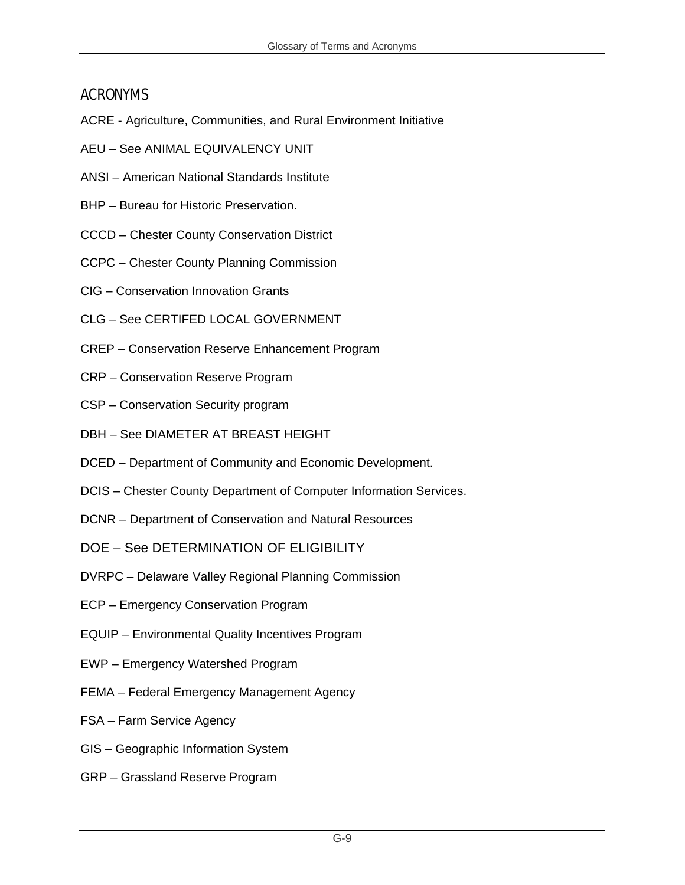## ACRONYMS

- ACRE Agriculture, Communities, and Rural Environment Initiative
- AEU See ANIMAL EQUIVALENCY UNIT
- ANSI American National Standards Institute
- BHP Bureau for Historic Preservation.
- CCCD Chester County Conservation District
- CCPC Chester County Planning Commission
- CIG Conservation Innovation Grants
- CLG See CERTIFED LOCAL GOVERNMENT
- CREP Conservation Reserve Enhancement Program
- CRP Conservation Reserve Program
- CSP Conservation Security program
- DBH See DIAMETER AT BREAST HEIGHT
- DCED Department of Community and Economic Development.
- DCIS Chester County Department of Computer Information Services.
- DCNR Department of Conservation and Natural Resources
- DOE See DETERMINATION OF ELIGIBILITY
- DVRPC Delaware Valley Regional Planning Commission
- ECP Emergency Conservation Program
- EQUIP Environmental Quality Incentives Program
- EWP Emergency Watershed Program
- FEMA Federal Emergency Management Agency
- FSA Farm Service Agency
- GIS Geographic Information System
- GRP Grassland Reserve Program